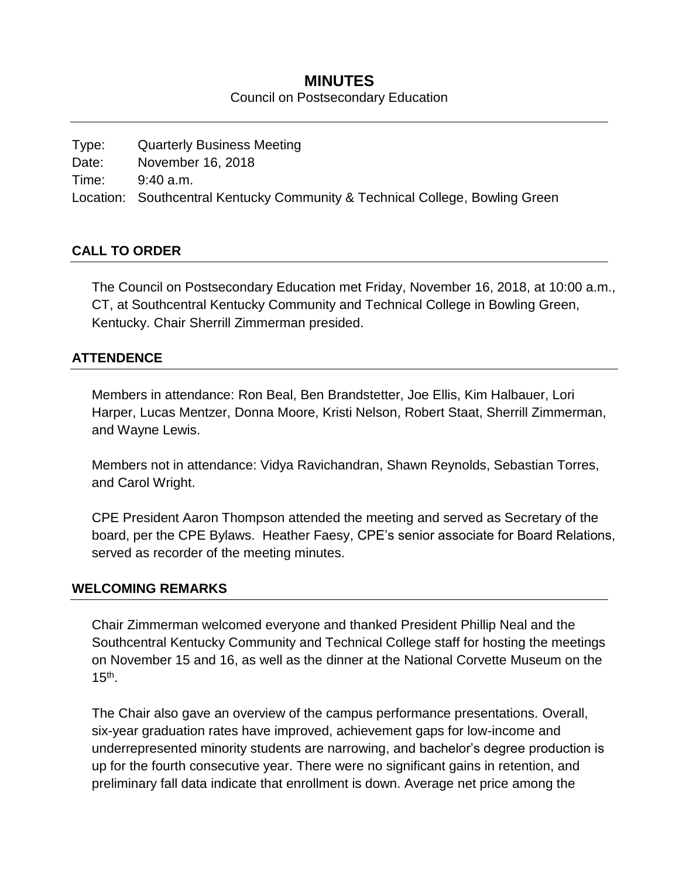## **MINUTES** Council on Postsecondary Education

| Type: | <b>Quarterly Business Meeting</b>                                            |
|-------|------------------------------------------------------------------------------|
| Date: | November 16, 2018                                                            |
| Time: | 9:40 a.m.                                                                    |
|       | Location: Southcentral Kentucky Community & Technical College, Bowling Green |

#### **CALL TO ORDER**

The Council on Postsecondary Education met Friday, November 16, 2018, at 10:00 a.m., CT, at Southcentral Kentucky Community and Technical College in Bowling Green, Kentucky. Chair Sherrill Zimmerman presided.

#### **ATTENDENCE**

Members in attendance: Ron Beal, Ben Brandstetter, Joe Ellis, Kim Halbauer, Lori Harper, Lucas Mentzer, Donna Moore, Kristi Nelson, Robert Staat, Sherrill Zimmerman, and Wayne Lewis.

Members not in attendance: Vidya Ravichandran, Shawn Reynolds, Sebastian Torres, and Carol Wright.

CPE President Aaron Thompson attended the meeting and served as Secretary of the board, per the CPE Bylaws. Heather Faesy, CPE's senior associate for Board Relations, served as recorder of the meeting minutes.

#### **WELCOMING REMARKS**

Chair Zimmerman welcomed everyone and thanked President Phillip Neal and the Southcentral Kentucky Community and Technical College staff for hosting the meetings on November 15 and 16, as well as the dinner at the National Corvette Museum on the  $15<sup>th</sup>$ .

The Chair also gave an overview of the campus performance presentations. Overall, six-year graduation rates have improved, achievement gaps for low-income and underrepresented minority students are narrowing, and bachelor's degree production is up for the fourth consecutive year. There were no significant gains in retention, and preliminary fall data indicate that enrollment is down. Average net price among the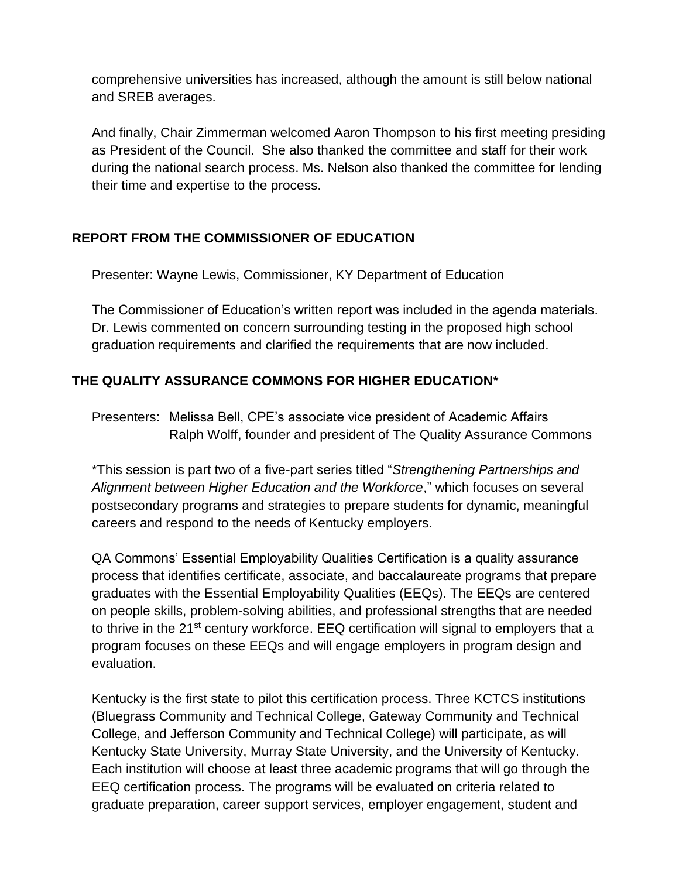comprehensive universities has increased, although the amount is still below national and SREB averages.

And finally, Chair Zimmerman welcomed Aaron Thompson to his first meeting presiding as President of the Council. She also thanked the committee and staff for their work during the national search process. Ms. Nelson also thanked the committee for lending their time and expertise to the process.

# **REPORT FROM THE COMMISSIONER OF EDUCATION**

Presenter: Wayne Lewis, Commissioner, KY Department of Education

The Commissioner of Education's written report was included in the agenda materials. Dr. Lewis commented on concern surrounding testing in the proposed high school graduation requirements and clarified the requirements that are now included.

# **THE QUALITY ASSURANCE COMMONS FOR HIGHER EDUCATION\***

Presenters: Melissa Bell, CPE's associate vice president of Academic Affairs Ralph Wolff, founder and president of The Quality Assurance Commons

\*This session is part two of a five-part series titled "*Strengthening Partnerships and Alignment between Higher Education and the Workforce*," which focuses on several postsecondary programs and strategies to prepare students for dynamic, meaningful careers and respond to the needs of Kentucky employers.

QA Commons' Essential Employability Qualities Certification is a quality assurance process that identifies certificate, associate, and baccalaureate programs that prepare graduates with the Essential Employability Qualities (EEQs). The EEQs are centered on people skills, problem-solving abilities, and professional strengths that are needed to thrive in the 21<sup>st</sup> century workforce. EEQ certification will signal to employers that a program focuses on these EEQs and will engage employers in program design and evaluation.

Kentucky is the first state to pilot this certification process. Three KCTCS institutions (Bluegrass Community and Technical College, Gateway Community and Technical College, and Jefferson Community and Technical College) will participate, as will Kentucky State University, Murray State University, and the University of Kentucky. Each institution will choose at least three academic programs that will go through the EEQ certification process. The programs will be evaluated on criteria related to graduate preparation, career support services, employer engagement, student and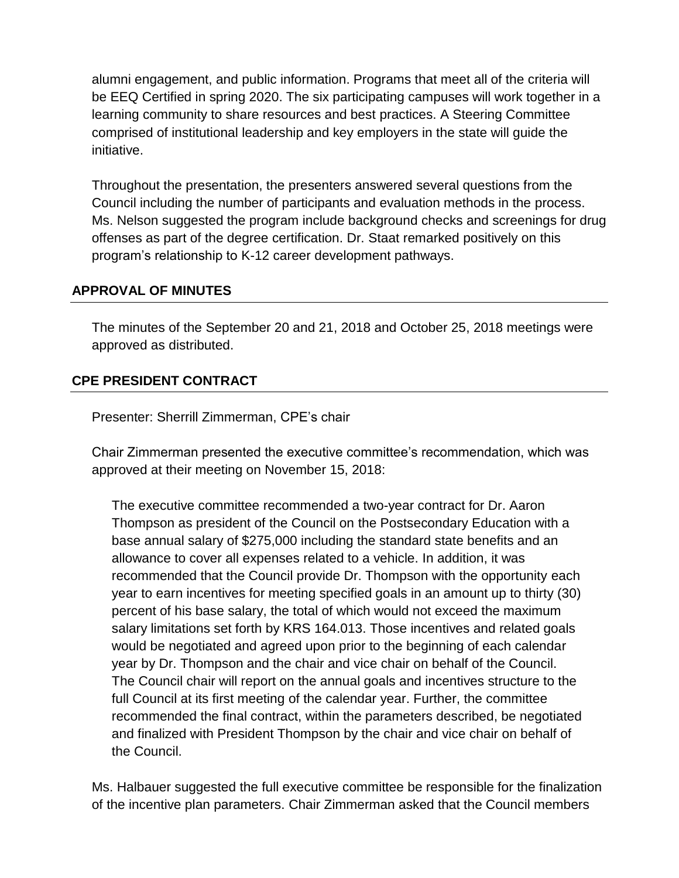alumni engagement, and public information. Programs that meet all of the criteria will be EEQ Certified in spring 2020. The six participating campuses will work together in a learning community to share resources and best practices. A Steering Committee comprised of institutional leadership and key employers in the state will guide the initiative.

Throughout the presentation, the presenters answered several questions from the Council including the number of participants and evaluation methods in the process. Ms. Nelson suggested the program include background checks and screenings for drug offenses as part of the degree certification. Dr. Staat remarked positively on this program's relationship to K-12 career development pathways.

## **APPROVAL OF MINUTES**

The minutes of the September 20 and 21, 2018 and October 25, 2018 meetings were approved as distributed.

## **CPE PRESIDENT CONTRACT**

Presenter: Sherrill Zimmerman, CPE's chair

Chair Zimmerman presented the executive committee's recommendation, which was approved at their meeting on November 15, 2018:

The executive committee recommended a two-year contract for Dr. Aaron Thompson as president of the Council on the Postsecondary Education with a base annual salary of \$275,000 including the standard state benefits and an allowance to cover all expenses related to a vehicle. In addition, it was recommended that the Council provide Dr. Thompson with the opportunity each year to earn incentives for meeting specified goals in an amount up to thirty (30) percent of his base salary, the total of which would not exceed the maximum salary limitations set forth by KRS 164.013. Those incentives and related goals would be negotiated and agreed upon prior to the beginning of each calendar year by Dr. Thompson and the chair and vice chair on behalf of the Council. The Council chair will report on the annual goals and incentives structure to the full Council at its first meeting of the calendar year. Further, the committee recommended the final contract, within the parameters described, be negotiated and finalized with President Thompson by the chair and vice chair on behalf of the Council.

Ms. Halbauer suggested the full executive committee be responsible for the finalization of the incentive plan parameters. Chair Zimmerman asked that the Council members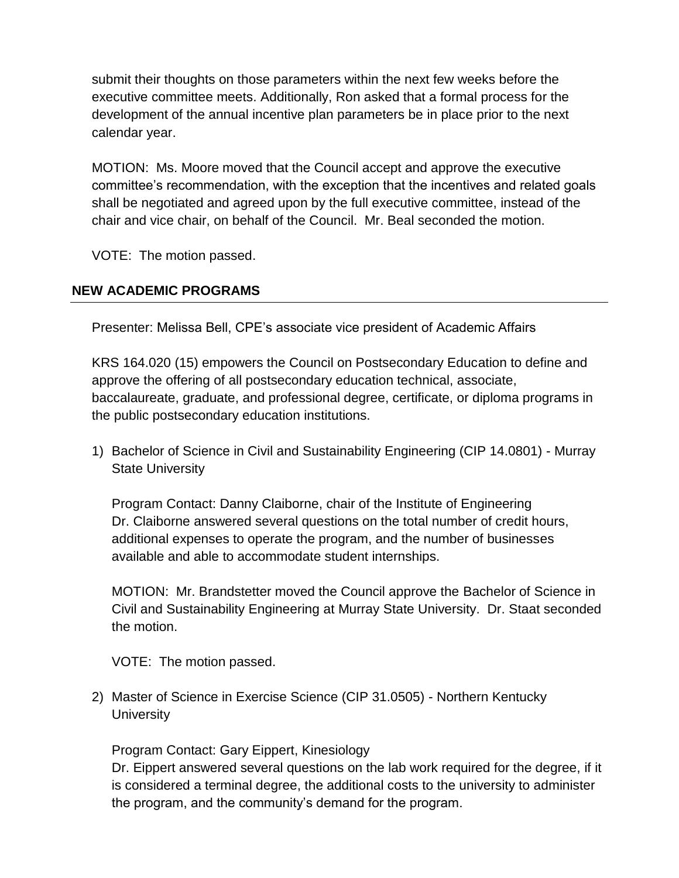submit their thoughts on those parameters within the next few weeks before the executive committee meets. Additionally, Ron asked that a formal process for the development of the annual incentive plan parameters be in place prior to the next calendar year.

MOTION: Ms. Moore moved that the Council accept and approve the executive committee's recommendation, with the exception that the incentives and related goals shall be negotiated and agreed upon by the full executive committee, instead of the chair and vice chair, on behalf of the Council. Mr. Beal seconded the motion.

VOTE: The motion passed.

# **NEW ACADEMIC PROGRAMS**

Presenter: Melissa Bell, CPE's associate vice president of Academic Affairs

KRS 164.020 (15) empowers the Council on Postsecondary Education to define and approve the offering of all postsecondary education technical, associate, baccalaureate, graduate, and professional degree, certificate, or diploma programs in the public postsecondary education institutions.

1) Bachelor of Science in Civil and Sustainability Engineering (CIP 14.0801) - Murray State University

Program Contact: Danny Claiborne, chair of the Institute of Engineering Dr. Claiborne answered several questions on the total number of credit hours, additional expenses to operate the program, and the number of businesses available and able to accommodate student internships.

MOTION: Mr. Brandstetter moved the Council approve the Bachelor of Science in Civil and Sustainability Engineering at Murray State University. Dr. Staat seconded the motion.

VOTE: The motion passed.

2) Master of Science in Exercise Science (CIP 31.0505) - Northern Kentucky **University** 

Program Contact: Gary Eippert, Kinesiology

Dr. Eippert answered several questions on the lab work required for the degree, if it is considered a terminal degree, the additional costs to the university to administer the program, and the community's demand for the program.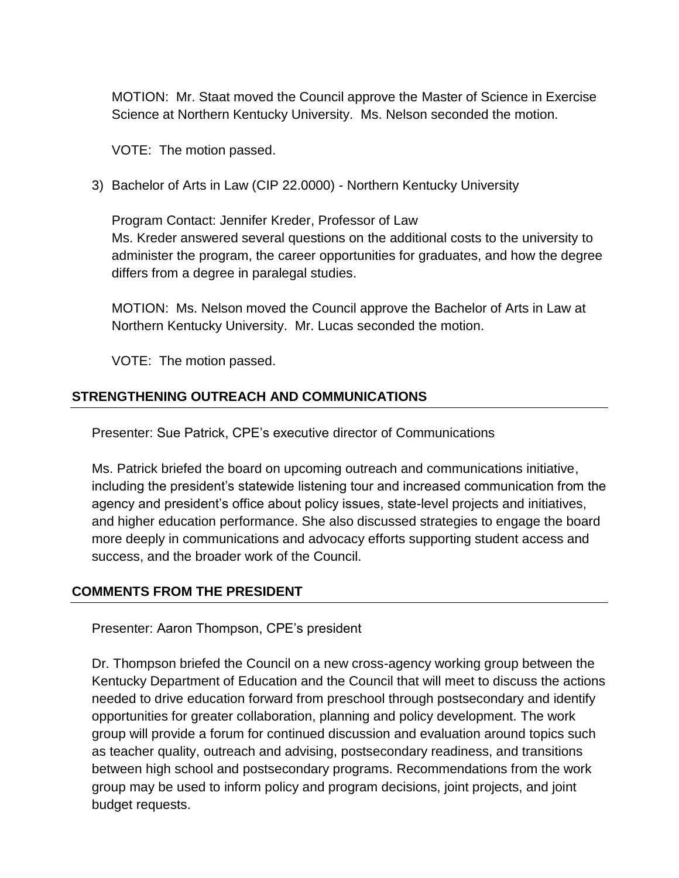MOTION: Mr. Staat moved the Council approve the Master of Science in Exercise Science at Northern Kentucky University. Ms. Nelson seconded the motion.

VOTE: The motion passed.

3) Bachelor of Arts in Law (CIP 22.0000) - Northern Kentucky University

Program Contact: Jennifer Kreder, Professor of Law Ms. Kreder answered several questions on the additional costs to the university to administer the program, the career opportunities for graduates, and how the degree differs from a degree in paralegal studies.

MOTION: Ms. Nelson moved the Council approve the Bachelor of Arts in Law at Northern Kentucky University. Mr. Lucas seconded the motion.

VOTE: The motion passed.

## **STRENGTHENING OUTREACH AND COMMUNICATIONS**

Presenter: Sue Patrick, CPE's executive director of Communications

Ms. Patrick briefed the board on upcoming outreach and communications initiative, including the president's statewide listening tour and increased communication from the agency and president's office about policy issues, state-level projects and initiatives, and higher education performance. She also discussed strategies to engage the board more deeply in communications and advocacy efforts supporting student access and success, and the broader work of the Council.

## **COMMENTS FROM THE PRESIDENT**

Presenter: Aaron Thompson, CPE's president

Dr. Thompson briefed the Council on a new cross-agency working group between the Kentucky Department of Education and the Council that will meet to discuss the actions needed to drive education forward from preschool through postsecondary and identify opportunities for greater collaboration, planning and policy development. The work group will provide a forum for continued discussion and evaluation around topics such as teacher quality, outreach and advising, postsecondary readiness, and transitions between high school and postsecondary programs. Recommendations from the work group may be used to inform policy and program decisions, joint projects, and joint budget requests.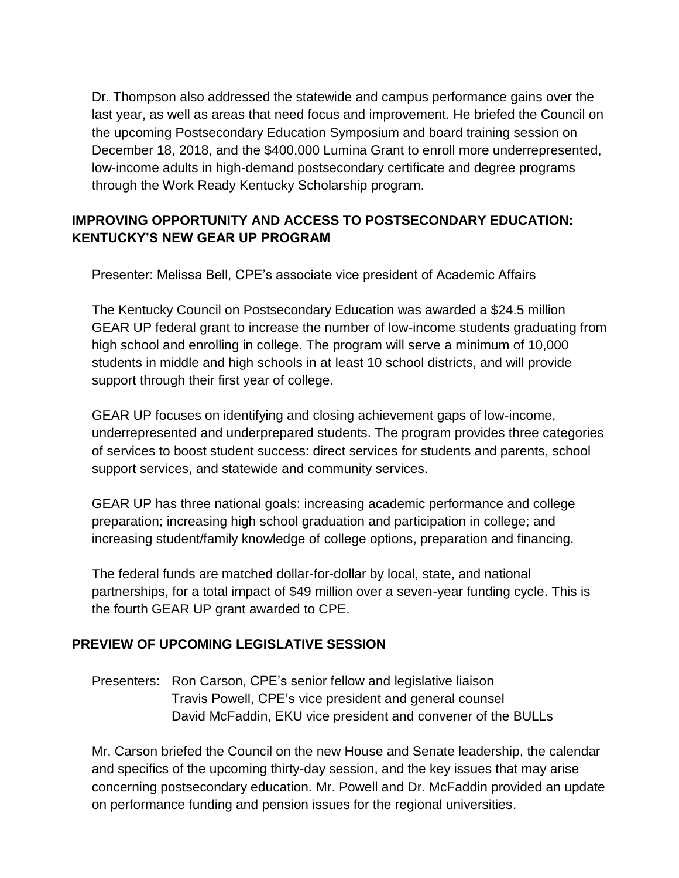Dr. Thompson also addressed the statewide and campus performance gains over the last year, as well as areas that need focus and improvement. He briefed the Council on the upcoming Postsecondary Education Symposium and board training session on December 18, 2018, and the \$400,000 Lumina Grant to enroll more underrepresented, low-income adults in high-demand postsecondary certificate and degree programs through the Work Ready Kentucky Scholarship program.

# **IMPROVING OPPORTUNITY AND ACCESS TO POSTSECONDARY EDUCATION: KENTUCKY'S NEW GEAR UP PROGRAM**

Presenter: Melissa Bell, CPE's associate vice president of Academic Affairs

The Kentucky Council on Postsecondary Education was awarded a \$24.5 million GEAR UP federal grant to increase the number of low-income students graduating from high school and enrolling in college. The program will serve a minimum of 10,000 students in middle and high schools in at least 10 school districts, and will provide support through their first year of college.

GEAR UP focuses on identifying and closing achievement gaps of low-income, underrepresented and underprepared students. The program provides three categories of services to boost student success: direct services for students and parents, school support services, and statewide and community services.

GEAR UP has three national goals: increasing academic performance and college preparation; increasing high school graduation and participation in college; and increasing student/family knowledge of college options, preparation and financing.

The federal funds are matched dollar-for-dollar by local, state, and national partnerships, for a total impact of \$49 million over a seven-year funding cycle. This is the fourth GEAR UP grant awarded to CPE.

## **PREVIEW OF UPCOMING LEGISLATIVE SESSION**

Presenters: Ron Carson, CPE's senior fellow and legislative liaison Travis Powell, CPE's vice president and general counsel David McFaddin, EKU vice president and convener of the BULLs

Mr. Carson briefed the Council on the new House and Senate leadership, the calendar and specifics of the upcoming thirty-day session, and the key issues that may arise concerning postsecondary education. Mr. Powell and Dr. McFaddin provided an update on performance funding and pension issues for the regional universities.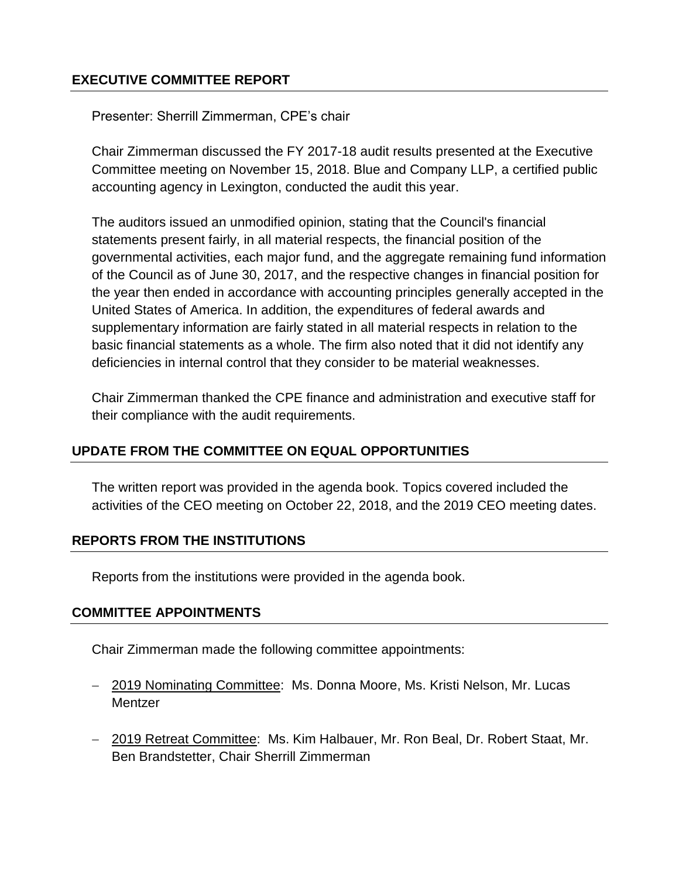## **EXECUTIVE COMMITTEE REPORT**

Presenter: Sherrill Zimmerman, CPE's chair

Chair Zimmerman discussed the FY 2017-18 audit results presented at the Executive Committee meeting on November 15, 2018. Blue and Company LLP, a certified public accounting agency in Lexington, conducted the audit this year.

The auditors issued an unmodified opinion, stating that the Council's financial statements present fairly, in all material respects, the financial position of the governmental activities, each major fund, and the aggregate remaining fund information of the Council as of June 30, 2017, and the respective changes in financial position for the year then ended in accordance with accounting principles generally accepted in the United States of America. In addition, the expenditures of federal awards and supplementary information are fairly stated in all material respects in relation to the basic financial statements as a whole. The firm also noted that it did not identify any deficiencies in internal control that they consider to be material weaknesses.

Chair Zimmerman thanked the CPE finance and administration and executive staff for their compliance with the audit requirements.

## **UPDATE FROM THE COMMITTEE ON EQUAL OPPORTUNITIES**

The written report was provided in the agenda book. Topics covered included the activities of the CEO meeting on October 22, 2018, and the 2019 CEO meeting dates.

## **REPORTS FROM THE INSTITUTIONS**

Reports from the institutions were provided in the agenda book.

#### **COMMITTEE APPOINTMENTS**

Chair Zimmerman made the following committee appointments:

- 2019 Nominating Committee: Ms. Donna Moore, Ms. Kristi Nelson, Mr. Lucas **Mentzer**
- 2019 Retreat Committee: Ms. Kim Halbauer, Mr. Ron Beal, Dr. Robert Staat, Mr. Ben Brandstetter, Chair Sherrill Zimmerman